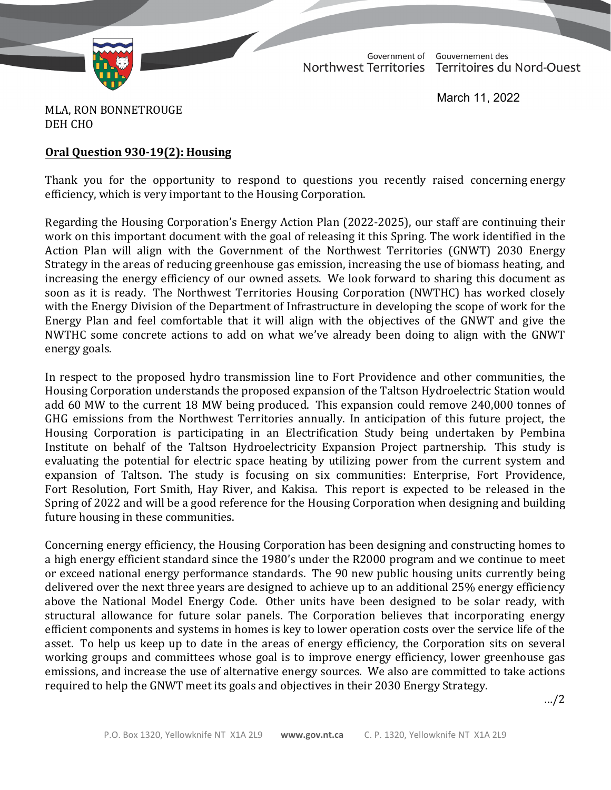

TD 607-19(2) TABLED ON MARCH 28, 2022

Government of Gouvernement des Northwest Territories Territoires du Nord-Ouest

March 11, 2022

MLA, RON BONNETROUGE DEH CHO

## **Oral Question 930-19(2): Housing**

Thank you for the opportunity to respond to questions you recently raised concerning energy efficiency, which is very important to the Housing Corporation.

Regarding the Housing Corporation's Energy Action Plan (2022-2025), our staff are continuing their work on this important document with the goal of releasing it this Spring. The work identified in the Action Plan will align with the Government of the Northwest Territories (GNWT) 2030 Energy Strategy in the areas of reducing greenhouse gas emission, increasing the use of biomass heating, and increasing the energy efficiency of our owned assets. We look forward to sharing this document as soon as it is ready. The Northwest Territories Housing Corporation (NWTHC) has worked closely with the Energy Division of the Department of Infrastructure in developing the scope of work for the Energy Plan and feel comfortable that it will align with the objectives of the GNWT and give the NWTHC some concrete actions to add on what we've already been doing to align with the GNWT energy goals.

In respect to the proposed hydro transmission line to Fort Providence and other communities, the Housing Corporation understands the proposed expansion of the Taltson Hydroelectric Station would add 60 MW to the current 18 MW being produced. This expansion could remove 240,000 tonnes of GHG emissions from the Northwest Territories annually. In anticipation of this future project, the Housing Corporation is participating in an Electrification Study being undertaken by Pembina Institute on behalf of the Taltson Hydroelectricity Expansion Project partnership. This study is evaluating the potential for electric space heating by utilizing power from the current system and expansion of Taltson. The study is focusing on six communities: Enterprise, Fort Providence, Fort Resolution, Fort Smith, Hay River, and Kakisa. This report is expected to be released in the Spring of 2022 and will be a good reference for the Housing Corporation when designing and building future housing in these communities.

Concerning energy efficiency, the Housing Corporation has been designing and constructing homes to a high energy efficient standard since the 1980's under the R2000 program and we continue to meet or exceed national energy performance standards. The 90 new public housing units currently being delivered over the next three years are designed to achieve up to an additional 25% energy efficiency above the National Model Energy Code. Other units have been designed to be solar ready, with structural allowance for future solar panels. The Corporation believes that incorporating energy efficient components and systems in homes is key to lower operation costs over the service life of the asset. To help us keep up to date in the areas of energy efficiency, the Corporation sits on several working groups and committees whose goal is to improve energy efficiency, lower greenhouse gas emissions, and increase the use of alternative energy sources. We also are committed to take actions required to help the GNWT meet its goals and objectives in their 2030 Energy Strategy.

…/2